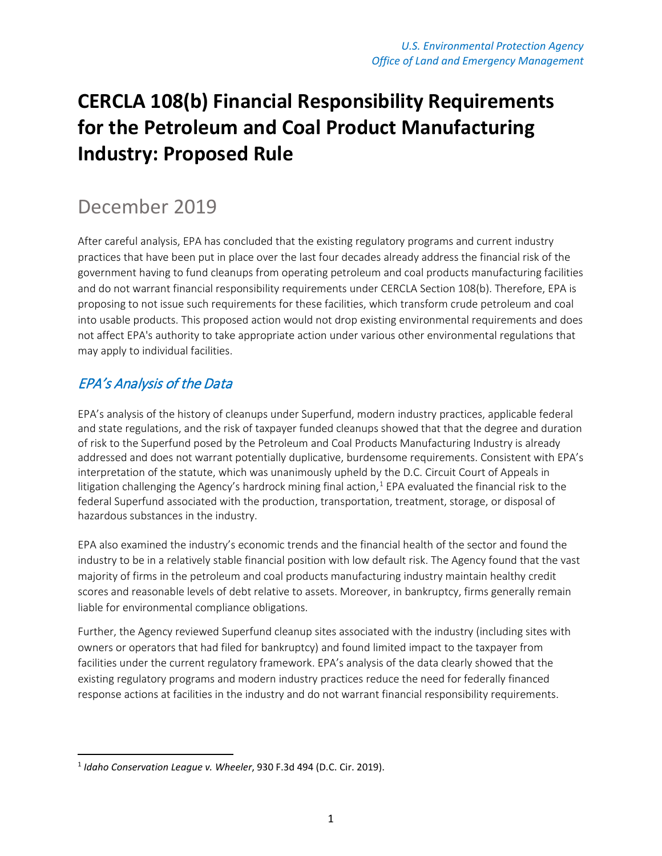# **CERCLA 108(b) Financial Responsibility Requirements for the Petroleum and Coal Product Manufacturing Industry: Proposed Rule**

## December 2019

After careful analysis, EPA has concluded that the existing regulatory programs and current industry practices that have been put in place over the last four decades already address the financial risk of the government having to fund cleanups from operating petroleum and coal products manufacturing facilities and do not warrant financial responsibility requirements under CERCLA Section 108(b). Therefore, EPA is proposing to not issue such requirements for these facilities, which transform crude petroleum and coal into usable products. This proposed action would not drop existing environmental requirements and does not affect EPA's authority to take appropriate action under various other environmental regulations that may apply to individual facilities.

#### EPA's Analysis of the Data

EPA's analysis of the history of cleanups under Superfund, modern industry practices, applicable federal and state regulations, and the risk of taxpayer funded cleanups showed that that the degree and duration of risk to the Superfund posed by the Petroleum and Coal Products Manufacturing Industry is already addressed and does not warrant potentially duplicative, burdensome requirements. Consistent with EPA's interpretation of the statute, which was unanimously upheld by the D.C. Circuit Court of Appeals in litigation challenging the Agency's hardrock mining final action,<sup>[1](#page-0-0)</sup> EPA evaluated the financial risk to the federal Superfund associated with the production, transportation, treatment, storage, or disposal of hazardous substances in the industry.

EPA also examined the industry's economic trends and the financial health of the sector and found the industry to be in a relatively stable financial position with low default risk. The Agency found that the vast majority of firms in the petroleum and coal products manufacturing industry maintain healthy credit scores and reasonable levels of debt relative to assets. Moreover, in bankruptcy, firms generally remain liable for environmental compliance obligations.

Further, the Agency reviewed Superfund cleanup sites associated with the industry (including sites with owners or operators that had filed for bankruptcy) and found limited impact to the taxpayer from facilities under the current regulatory framework. EPA's analysis of the data clearly showed that the existing regulatory programs and modern industry practices reduce the need for federally financed response actions at facilities in the industry and do not warrant financial responsibility requirements.

<span id="page-0-0"></span> <sup>1</sup> *Idaho Conservation League v. Wheeler*, 930 F.3d 494 (D.C. Cir. 2019).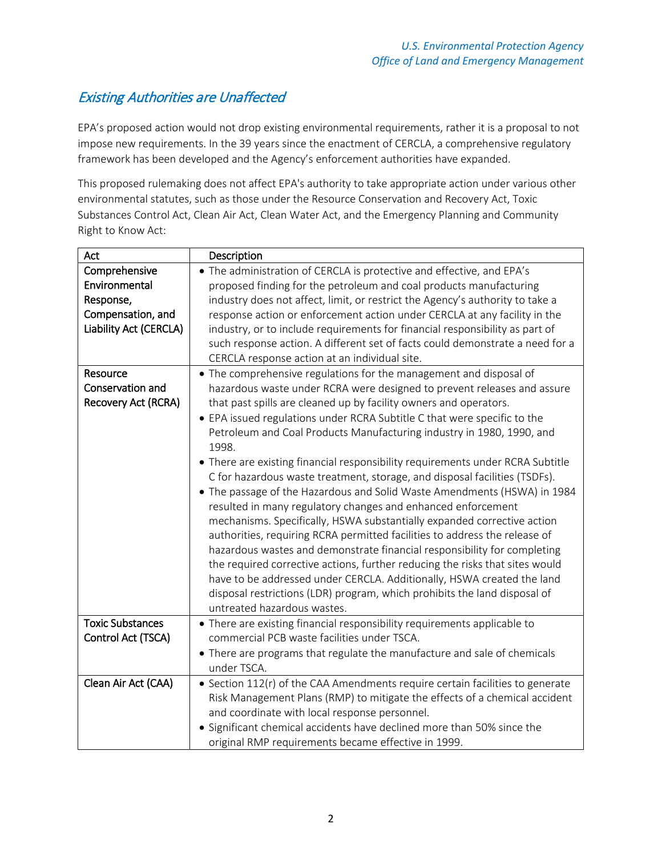### Existing Authorities are Unaffected

EPA's proposed action would not drop existing environmental requirements, rather it is a proposal to not impose new requirements. In the 39 years since the enactment of CERCLA, a comprehensive regulatory framework has been developed and the Agency's enforcement authorities have expanded.

This proposed rulemaking does not affect EPA's authority to take appropriate action under various other environmental statutes, such as those under the Resource Conservation and Recovery Act, Toxic Substances Control Act, Clean Air Act, Clean Water Act, and the Emergency Planning and Community Right to Know Act:

| Act                                                                                        | Description                                                                                                                                                                                                                                                                                                                                                                                                                                                                                                                                                                                                                                                                                                                                                                                                                                                                                                                                                                                                                                                                                                                                                                                             |
|--------------------------------------------------------------------------------------------|---------------------------------------------------------------------------------------------------------------------------------------------------------------------------------------------------------------------------------------------------------------------------------------------------------------------------------------------------------------------------------------------------------------------------------------------------------------------------------------------------------------------------------------------------------------------------------------------------------------------------------------------------------------------------------------------------------------------------------------------------------------------------------------------------------------------------------------------------------------------------------------------------------------------------------------------------------------------------------------------------------------------------------------------------------------------------------------------------------------------------------------------------------------------------------------------------------|
| Comprehensive<br>Environmental<br>Response,<br>Compensation, and<br>Liability Act (CERCLA) | • The administration of CERCLA is protective and effective, and EPA's<br>proposed finding for the petroleum and coal products manufacturing<br>industry does not affect, limit, or restrict the Agency's authority to take a<br>response action or enforcement action under CERCLA at any facility in the<br>industry, or to include requirements for financial responsibility as part of<br>such response action. A different set of facts could demonstrate a need for a<br>CERCLA response action at an individual site.                                                                                                                                                                                                                                                                                                                                                                                                                                                                                                                                                                                                                                                                             |
| Resource<br>Conservation and<br><b>Recovery Act (RCRA)</b>                                 | • The comprehensive regulations for the management and disposal of<br>hazardous waste under RCRA were designed to prevent releases and assure<br>that past spills are cleaned up by facility owners and operators.<br>• EPA issued regulations under RCRA Subtitle C that were specific to the<br>Petroleum and Coal Products Manufacturing industry in 1980, 1990, and<br>1998.<br>• There are existing financial responsibility requirements under RCRA Subtitle<br>C for hazardous waste treatment, storage, and disposal facilities (TSDFs).<br>• The passage of the Hazardous and Solid Waste Amendments (HSWA) in 1984<br>resulted in many regulatory changes and enhanced enforcement<br>mechanisms. Specifically, HSWA substantially expanded corrective action<br>authorities, requiring RCRA permitted facilities to address the release of<br>hazardous wastes and demonstrate financial responsibility for completing<br>the required corrective actions, further reducing the risks that sites would<br>have to be addressed under CERCLA. Additionally, HSWA created the land<br>disposal restrictions (LDR) program, which prohibits the land disposal of<br>untreated hazardous wastes. |
| <b>Toxic Substances</b><br>Control Act (TSCA)                                              | • There are existing financial responsibility requirements applicable to<br>commercial PCB waste facilities under TSCA.<br>• There are programs that regulate the manufacture and sale of chemicals<br>under TSCA.                                                                                                                                                                                                                                                                                                                                                                                                                                                                                                                                                                                                                                                                                                                                                                                                                                                                                                                                                                                      |
| Clean Air Act (CAA)                                                                        | • Section 112(r) of the CAA Amendments require certain facilities to generate<br>Risk Management Plans (RMP) to mitigate the effects of a chemical accident<br>and coordinate with local response personnel.<br>• Significant chemical accidents have declined more than 50% since the<br>original RMP requirements became effective in 1999.                                                                                                                                                                                                                                                                                                                                                                                                                                                                                                                                                                                                                                                                                                                                                                                                                                                           |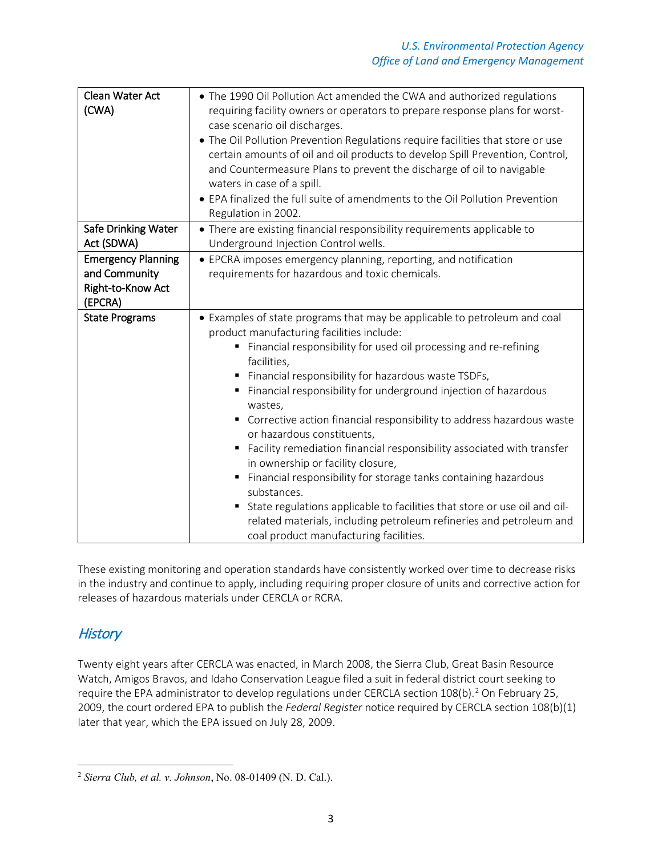| Clean Water Act<br>(CWA)                                                   | • The 1990 Oil Pollution Act amended the CWA and authorized regulations<br>requiring facility owners or operators to prepare response plans for worst-<br>case scenario oil discharges.<br>• The Oil Pollution Prevention Regulations require facilities that store or use<br>certain amounts of oil and oil products to develop Spill Prevention, Control,<br>and Countermeasure Plans to prevent the discharge of oil to navigable<br>waters in case of a spill.<br>• EPA finalized the full suite of amendments to the Oil Pollution Prevention<br>Regulation in 2002.                                                                                                                                                                                                                                                                                           |  |  |
|----------------------------------------------------------------------------|---------------------------------------------------------------------------------------------------------------------------------------------------------------------------------------------------------------------------------------------------------------------------------------------------------------------------------------------------------------------------------------------------------------------------------------------------------------------------------------------------------------------------------------------------------------------------------------------------------------------------------------------------------------------------------------------------------------------------------------------------------------------------------------------------------------------------------------------------------------------|--|--|
| <b>Safe Drinking Water</b><br>Act (SDWA)                                   | • There are existing financial responsibility requirements applicable to<br>Underground Injection Control wells.                                                                                                                                                                                                                                                                                                                                                                                                                                                                                                                                                                                                                                                                                                                                                    |  |  |
| <b>Emergency Planning</b><br>and Community<br>Right-to-Know Act<br>(EPCRA) | • EPCRA imposes emergency planning, reporting, and notification<br>requirements for hazardous and toxic chemicals.                                                                                                                                                                                                                                                                                                                                                                                                                                                                                                                                                                                                                                                                                                                                                  |  |  |
| <b>State Programs</b>                                                      | • Examples of state programs that may be applicable to petroleum and coal<br>product manufacturing facilities include:<br>Financial responsibility for used oil processing and re-refining<br>facilities,<br>Financial responsibility for hazardous waste TSDFs,<br>Financial responsibility for underground injection of hazardous<br>٠<br>wastes,<br>Corrective action financial responsibility to address hazardous waste<br>٠<br>or hazardous constituents,<br>Facility remediation financial responsibility associated with transfer<br>٠<br>in ownership or facility closure,<br>Financial responsibility for storage tanks containing hazardous<br>substances.<br>State regulations applicable to facilities that store or use oil and oil-<br>related materials, including petroleum refineries and petroleum and<br>coal product manufacturing facilities. |  |  |

These existing monitoring and operation standards have consistently worked over time to decrease risks in the industry and continue to apply, including requiring proper closure of units and corrective action for releases of hazardous materials under CERCLA or RCRA.

#### **History**

Twenty eight years after CERCLA was enacted, in March 2008, the Sierra Club, Great Basin Resource Watch, Amigos Bravos, and Idaho Conservation League filed a suit in federal district court seeking to require the EPA administrator to develop regulations under CERCLA section  $108(b)$ .<sup>[2](#page-2-0)</sup> On February 25, 2009, the court ordered EPA to publish the *Federal Register* notice required by CERCLA section 108(b)(1) later that year, which the EPA issued on July 28, 2009.

<span id="page-2-0"></span>l <sup>2</sup> *Sierra Club, et al. v. Johnson*, No. 08-01409 (N. D. Cal.).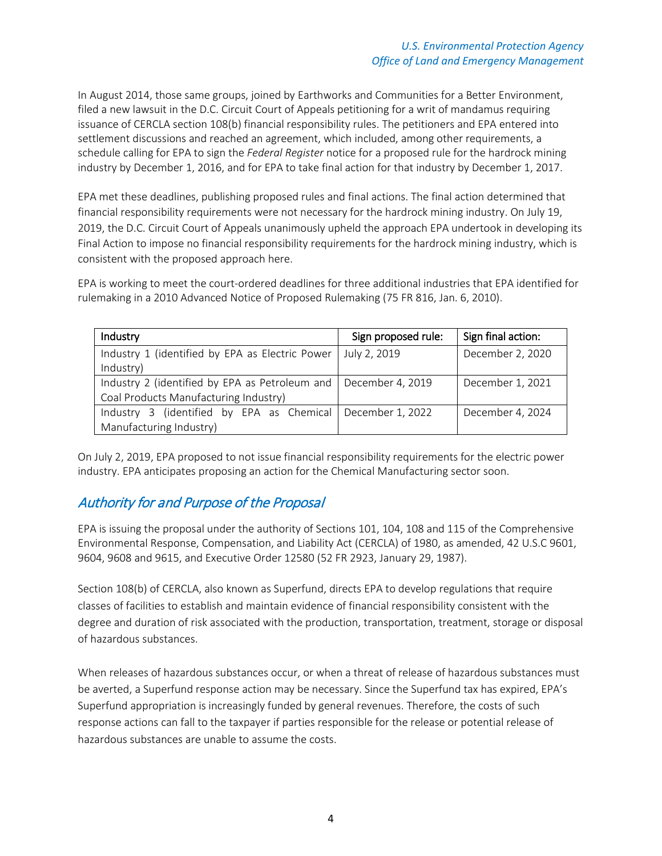In August 2014, those same groups, joined by Earthworks and Communities for a Better Environment, filed a new lawsuit in the D.C. Circuit Court of Appeals petitioning for a writ of mandamus requiring issuance of CERCLA section 108(b) financial responsibility rules. The petitioners and EPA entered into settlement discussions and reached an agreement, which included, among other requirements, a schedule calling for EPA to sign the *Federal Register* notice for a proposed rule for the hardrock mining industry by December 1, 2016, and for EPA to take final action for that industry by December 1, 2017.

EPA met these deadlines, publishing proposed rules and final actions. The final action determined that financial responsibility requirements were not necessary for the hardrock mining industry. On July 19, 2019, the D.C. Circuit Court of Appeals unanimously upheld the approach EPA undertook in developing its Final Action to impose no financial responsibility requirements for the hardrock mining industry, which is consistent with the proposed approach here.

EPA is working to meet the court-ordered deadlines for three additional industries that EPA identified for rulemaking in a 2010 Advanced Notice of Proposed Rulemaking (75 FR 816, Jan. 6, 2010).

| Industry                                                          | Sign proposed rule: | Sign final action: |
|-------------------------------------------------------------------|---------------------|--------------------|
| Industry 1 (identified by EPA as Electric Power                   | July 2, 2019        | December 2, 2020   |
| Industry)                                                         |                     |                    |
| Industry 2 (identified by EPA as Petroleum and   December 4, 2019 |                     | December 1, 2021   |
| Coal Products Manufacturing Industry)                             |                     |                    |
| Industry 3 (identified by EPA as Chemical December 1, 2022        |                     | December 4, 2024   |
| Manufacturing Industry)                                           |                     |                    |

On July 2, 2019, EPA proposed to not issue financial responsibility requirements for the electric power industry. EPA anticipates proposing an action for the Chemical Manufacturing sector soon.

#### Authority for and Purpose of the Proposal

EPA is issuing the proposal under the authority of Sections 101, 104, 108 and 115 of the Comprehensive Environmental Response, Compensation, and Liability Act (CERCLA) of 1980, as amended, 42 U.S.C 9601, 9604, 9608 and 9615, and Executive Order 12580 (52 FR 2923, January 29, 1987).

Section 108(b) of CERCLA, also known as Superfund, directs EPA to develop regulations that require classes of facilities to establish and maintain evidence of financial responsibility consistent with the degree and duration of risk associated with the production, transportation, treatment, storage or disposal of hazardous substances.

When releases of hazardous substances occur, or when a threat of release of hazardous substances must be averted, a Superfund response action may be necessary. Since the Superfund tax has expired, EPA's Superfund appropriation is increasingly funded by general revenues. Therefore, the costs of such response actions can fall to the taxpayer if parties responsible for the release or potential release of hazardous substances are unable to assume the costs.